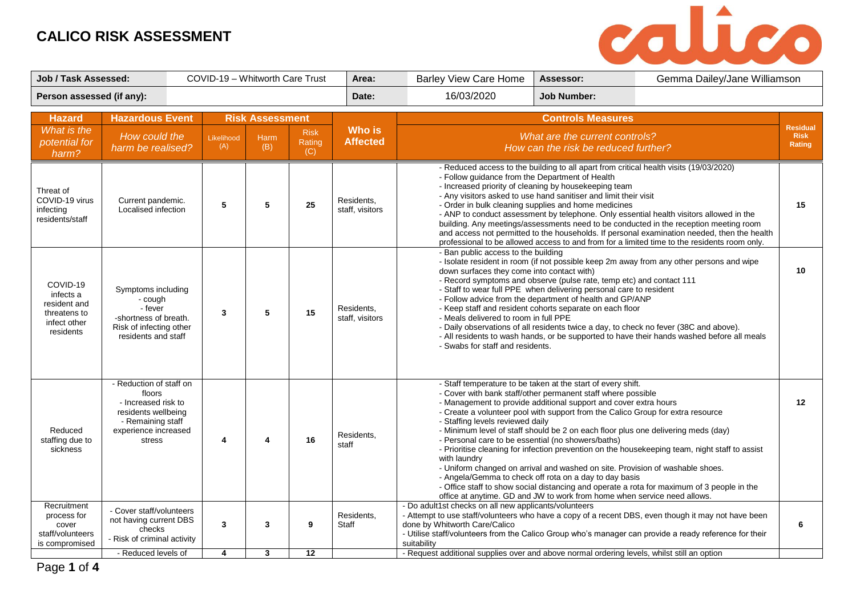

| <b>Job / Task Assessed:</b>                                                        |                                                                                                                                        | COVID-19 - Whitworth Care Trust |                                |                              |                              | Area:                         | Gemma Dailey/Jane Williamson<br><b>Barley View Care Home</b><br>Assessor:                                                                                                                                                                                                                                                                                                                                                                                                                                                                                                                                                                                                                                               |                                                                                                                                                                                                                                                                                                                                                                                                                                                                                                            |                                                                                                                                                                                                                                                                                   |                                          |
|------------------------------------------------------------------------------------|----------------------------------------------------------------------------------------------------------------------------------------|---------------------------------|--------------------------------|------------------------------|------------------------------|-------------------------------|-------------------------------------------------------------------------------------------------------------------------------------------------------------------------------------------------------------------------------------------------------------------------------------------------------------------------------------------------------------------------------------------------------------------------------------------------------------------------------------------------------------------------------------------------------------------------------------------------------------------------------------------------------------------------------------------------------------------------|------------------------------------------------------------------------------------------------------------------------------------------------------------------------------------------------------------------------------------------------------------------------------------------------------------------------------------------------------------------------------------------------------------------------------------------------------------------------------------------------------------|-----------------------------------------------------------------------------------------------------------------------------------------------------------------------------------------------------------------------------------------------------------------------------------|------------------------------------------|
| Person assessed (if any):                                                          |                                                                                                                                        |                                 |                                |                              |                              |                               | 16/03/2020                                                                                                                                                                                                                                                                                                                                                                                                                                                                                                                                                                                                                                                                                                              | <b>Job Number:</b>                                                                                                                                                                                                                                                                                                                                                                                                                                                                                         |                                                                                                                                                                                                                                                                                   |                                          |
| <b>Hazard</b>                                                                      | <b>Hazardous Event</b>                                                                                                                 |                                 | <b>Risk Assessment</b>         |                              |                              |                               |                                                                                                                                                                                                                                                                                                                                                                                                                                                                                                                                                                                                                                                                                                                         | <b>Controls Measures</b>                                                                                                                                                                                                                                                                                                                                                                                                                                                                                   |                                                                                                                                                                                                                                                                                   |                                          |
| What is the<br>potential for<br>harm?                                              | How could the<br>harm be realised?                                                                                                     |                                 | Likelihood<br>(A)              | <b>Harm</b><br>(B)           | <b>Risk</b><br>Rating<br>(C) | Who is<br><b>Affected</b>     |                                                                                                                                                                                                                                                                                                                                                                                                                                                                                                                                                                                                                                                                                                                         | What are the current controls?<br>How can the risk be reduced further?                                                                                                                                                                                                                                                                                                                                                                                                                                     |                                                                                                                                                                                                                                                                                   | <b>Residual</b><br><b>Risk</b><br>Rating |
| Threat of<br>COVID-19 virus<br>infecting<br>residents/staff                        | Current pandemic.<br>Localised infection                                                                                               |                                 | 5                              | 5                            | 25                           | Residents,<br>staff, visitors | - Reduced access to the building to all apart from critical health visits (19/03/2020)<br>- Follow quidance from the Department of Health<br>- Increased priority of cleaning by housekeeping team<br>- Any visitors asked to use hand sanitiser and limit their visit<br>- Order in bulk cleaning supplies and home medicines<br>- ANP to conduct assessment by telephone. Only essential health visitors allowed in the<br>building. Any meetings/assessments need to be conducted in the reception meeting room<br>and access not permitted to the households. If personal examination needed, then the health<br>professional to be allowed access to and from for a limited time to the residents room only.       |                                                                                                                                                                                                                                                                                                                                                                                                                                                                                                            |                                                                                                                                                                                                                                                                                   | 15                                       |
| COVID-19<br>infects a<br>resident and<br>threatens to<br>infect other<br>residents | Symptoms including<br>- cough<br>- fever<br>-shortness of breath.<br>Risk of infecting other<br>residents and staff                    |                                 | $\mathbf{3}$                   | 5                            | 15                           | Residents.<br>staff, visitors | - Ban public access to the building<br>- Isolate resident in room (if not possible keep 2m away from any other persons and wipe<br>down surfaces they come into contact with)<br>- Record symptoms and observe (pulse rate, temp etc) and contact 111<br>- Staff to wear full PPE when delivering personal care to resident<br>- Follow advice from the department of health and GP/ANP<br>- Keep staff and resident cohorts separate on each floor<br>- Meals delivered to room in full PPE<br>- Daily observations of all residents twice a day, to check no fever (38C and above).<br>- All residents to wash hands, or be supported to have their hands washed before all meals<br>- Swabs for staff and residents. |                                                                                                                                                                                                                                                                                                                                                                                                                                                                                                            |                                                                                                                                                                                                                                                                                   | 10                                       |
| Reduced<br>staffing due to<br>sickness                                             | - Reduction of staff on<br>floors<br>- Increased risk to<br>residents wellbeing<br>- Remaining staff<br>experience increased<br>stress |                                 | 4                              | 4                            | 16                           | Residents,<br>staff           | - Staffing levels reviewed daily<br>- Personal care to be essential (no showers/baths)<br>with laundry                                                                                                                                                                                                                                                                                                                                                                                                                                                                                                                                                                                                                  | - Staff temperature to be taken at the start of every shift.<br>- Cover with bank staff/other permanent staff where possible<br>- Management to provide additional support and cover extra hours<br>- Create a volunteer pool with support from the Calico Group for extra resource<br>- Uniform changed on arrival and washed on site. Provision of washable shoes.<br>- Angela/Gemma to check off rota on a day to day basis<br>office at anytime. GD and JW to work from home when service need allows. | - Minimum level of staff should be 2 on each floor plus one delivering meds (day)<br>- Prioritise cleaning for infection prevention on the housekeeping team, night staff to assist<br>- Office staff to show social distancing and operate a rota for maximum of 3 people in the | 12                                       |
| Recruitment<br>process for<br>cover<br>staff/volunteers<br>is compromised          | - Cover staff/volunteers<br>not having current DBS<br>checks<br>- Risk of criminal activity<br>- Reduced levels of                     |                                 | $\mathbf{3}$<br>$\overline{4}$ | 3<br>$\overline{\mathbf{3}}$ | 9<br>12                      | Residents,<br>Staff           | - Do adult1st checks on all new applicants/volunteers<br>done by Whitworth Care/Calico<br>suitability<br>- Request additional supplies over and above normal ordering levels, whilst still an option                                                                                                                                                                                                                                                                                                                                                                                                                                                                                                                    |                                                                                                                                                                                                                                                                                                                                                                                                                                                                                                            | - Attempt to use staff/volunteers who have a copy of a recent DBS, even though it may not have been<br>- Utilise staff/volunteers from the Calico Group who's manager can provide a ready reference for their                                                                     | 6                                        |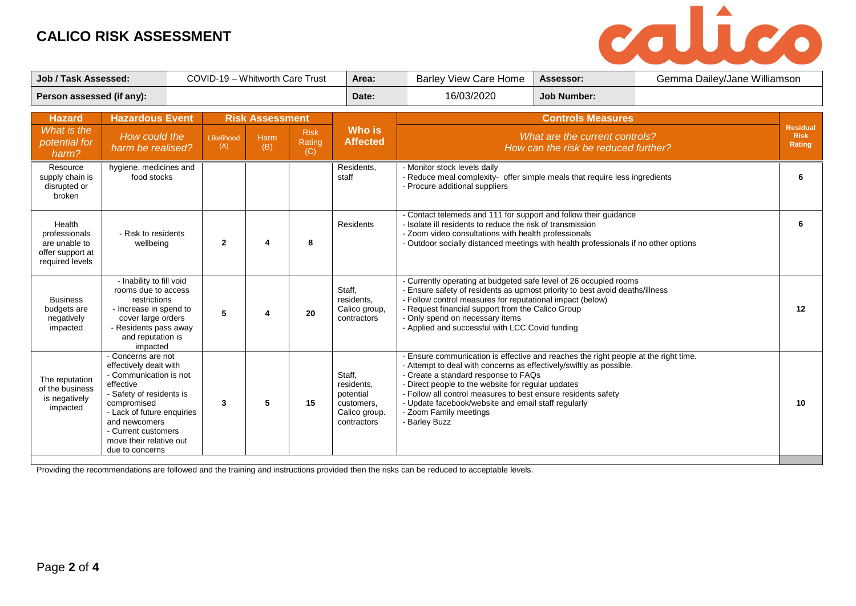

| <b>Job / Task Assessed:</b>                                                     |                                                                                                                                                                                                                                                    | COVID-19 - Whitworth Care Trust |                   |                        |                              | Area:                                                                           | <b>Barley View Care Home</b>                                                                                                                                                                                                                                                                                                                                                                                              | Assessor:                | Gemma Dailey/Jane Williamson |                       |
|---------------------------------------------------------------------------------|----------------------------------------------------------------------------------------------------------------------------------------------------------------------------------------------------------------------------------------------------|---------------------------------|-------------------|------------------------|------------------------------|---------------------------------------------------------------------------------|---------------------------------------------------------------------------------------------------------------------------------------------------------------------------------------------------------------------------------------------------------------------------------------------------------------------------------------------------------------------------------------------------------------------------|--------------------------|------------------------------|-----------------------|
| Person assessed (if any):                                                       |                                                                                                                                                                                                                                                    |                                 |                   |                        |                              | Date:                                                                           | 16/03/2020<br><b>Job Number:</b>                                                                                                                                                                                                                                                                                                                                                                                          |                          |                              |                       |
| <b>Hazard</b><br>What is the                                                    |                                                                                                                                                                                                                                                    | <b>Hazardous Event</b>          |                   | <b>Risk Assessment</b> |                              | <b>Who is</b>                                                                   |                                                                                                                                                                                                                                                                                                                                                                                                                           | <b>Controls Measures</b> |                              | <b>Residual</b>       |
| potential for<br>harm?                                                          | How could the<br>harm be realised?                                                                                                                                                                                                                 |                                 | Likelihood<br>(A) | <b>Harm</b><br>(B)     | <b>Risk</b><br>Rating<br>(C) | <b>Affected</b>                                                                 | What are the current controls?<br>How can the risk be reduced further?                                                                                                                                                                                                                                                                                                                                                    |                          |                              | <b>Risk</b><br>Rating |
| Resource<br>supply chain is<br>disrupted or<br>broken                           | hygiene, medicines and<br>food stocks                                                                                                                                                                                                              |                                 |                   |                        |                              | Residents.<br>staff                                                             | - Monitor stock levels daily<br>Reduce meal complexity- offer simple meals that require less ingredients<br>- Procure additional suppliers                                                                                                                                                                                                                                                                                |                          |                              | 6                     |
| Health<br>professionals<br>are unable to<br>offer support at<br>required levels | - Risk to residents<br>wellbeing                                                                                                                                                                                                                   |                                 | $\mathbf{2}$      | 4                      | 8                            | Residents                                                                       | - Contact telemeds and 111 for support and follow their guidance<br>- Isolate ill residents to reduce the risk of transmission<br>- Zoom video consultations with health professionals<br>- Outdoor socially distanced meetings with health professionals if no other options                                                                                                                                             |                          |                              |                       |
| <b>Business</b><br>budgets are<br>negatively<br>impacted                        | - Inability to fill void<br>rooms due to access<br>restrictions<br>- Increase in spend to<br>cover large orders<br>- Residents pass away<br>and reputation is<br>impacted                                                                          |                                 | 5                 |                        | 20                           | Staff,<br>residents.<br>Calico group,<br>contractors                            | - Currently operating at budgeted safe level of 26 occupied rooms<br>- Ensure safety of residents as upmost priority to best avoid deaths/illness<br>- Follow control measures for reputational impact (below)<br>- Request financial support from the Calico Group<br>- Only spend on necessary items<br>- Applied and successful with LCC Covid funding                                                                 |                          | 12                           |                       |
| The reputation<br>of the business<br>is negatively<br>impacted                  | - Concerns are not<br>effectively dealt with<br>- Communication is not<br>effective<br>- Safety of residents is<br>compromised<br>- Lack of future enquiries<br>and newcomers<br>- Current customers<br>move their relative out<br>due to concerns |                                 | 3                 | 5                      | 15                           | Staff,<br>residents,<br>potential<br>customers.<br>Calico group.<br>contractors | Ensure communication is effective and reaches the right people at the right time.<br>- Attempt to deal with concerns as effectively/swiftly as possible.<br>- Create a standard response to FAQs<br>- Direct people to the website for regular updates<br>- Follow all control measures to best ensure residents safety<br>- Update facebook/website and email staff regularly<br>- Zoom Family meetings<br>- Barley Buzz |                          |                              | 10                    |

Providing the recommendations are followed and the training and instructions provided then the risks can be reduced to acceptable levels.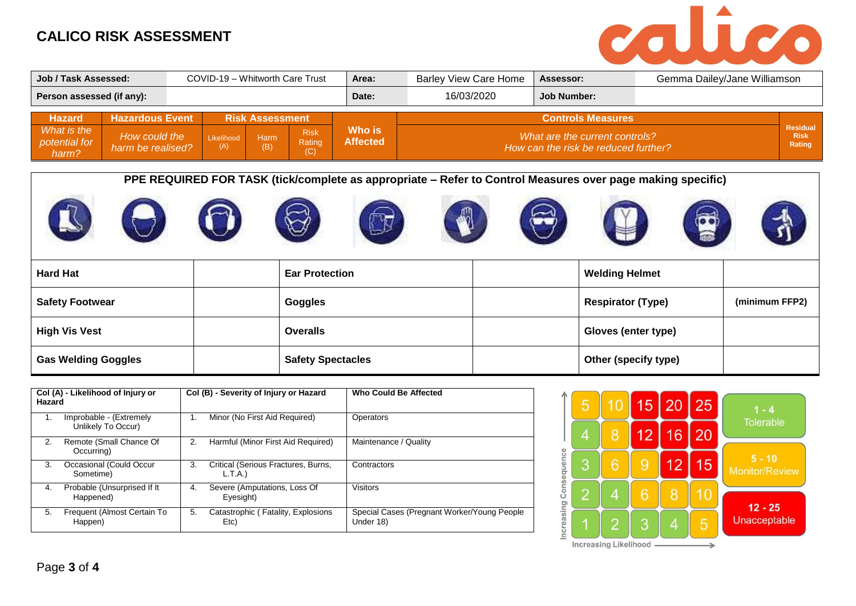

| Job / Task Assessed:<br>COVID-19 - Whitworth Care Trust |                                    |  |                        |             |                              | Area:                     | <b>Barley View Care Home</b> | Assessor:                                                              | Gemma Dailey/Jane Williamson |                       |
|---------------------------------------------------------|------------------------------------|--|------------------------|-------------|------------------------------|---------------------------|------------------------------|------------------------------------------------------------------------|------------------------------|-----------------------|
| Person assessed (if any):                               |                                    |  |                        |             |                              | Date:                     | 16/03/2020                   | Job Number:                                                            |                              |                       |
| <b>Hazard</b>                                           | <b>Hazardous Event</b>             |  | <b>Risk Assessment</b> |             |                              |                           | <b>Controls Measures</b>     |                                                                        | Residual                     |                       |
| What is the<br>potential for<br>harm?                   | How could the<br>harm be realised? |  | Likelihood<br>(A)      | Harm<br>(B) | <b>Risk</b><br>Rating<br>(C) | Who is<br><b>Affected</b> |                              | What are the current controls?<br>How can the risk be reduced further? |                              | <b>Risk</b><br>Rating |

**PPE REQUIRED FOR TASK (tick/complete as appropriate – Refer to Control Measures over page making specific)**



| <b>Hard Hat</b>            | <b>Ear Protection</b>    | <b>Welding Helmet</b>    |                |
|----------------------------|--------------------------|--------------------------|----------------|
| <b>Safety Footwear</b>     | <b>Goggles</b>           | <b>Respirator (Type)</b> | (minimum FFP2) |
| <b>High Vis Vest</b>       | <b>Overalls</b>          | Gloves (enter type)      |                |
| <b>Gas Welding Goggles</b> | <b>Safety Spectacles</b> | Other (specify type)     |                |

| Hazard | Col (A) - Likelihood of Injury or             |    | Col (B) - Severity of Injury or Hazard        | Who Could Be Affected                                    |  |  |
|--------|-----------------------------------------------|----|-----------------------------------------------|----------------------------------------------------------|--|--|
| 1.     | Improbable - (Extremely<br>Unlikely To Occur) | 1. | Minor (No First Aid Required)                 | Operators                                                |  |  |
| 2.     | Remote (Small Chance Of<br>Occurring)         | 2. | Harmful (Minor First Aid Required)            | Maintenance / Quality                                    |  |  |
| 3.     | Occasional (Could Occur<br>Sometime)          | 3. | Critical (Serious Fractures, Burns,<br>L.T.A. | Contractors                                              |  |  |
| 4.     | Probable (Unsurprised If It<br>Happened)      | 4. | Severe (Amputations, Loss Of<br>Eyesight)     | <b>Visitors</b>                                          |  |  |
| 5.     | Frequent (Almost Certain To<br>Happen)        | 5. | Catastrophic (Fatality, Explosions<br>Etc)    | Special Cases (Pregnant Worker/Young People<br>Under 18) |  |  |